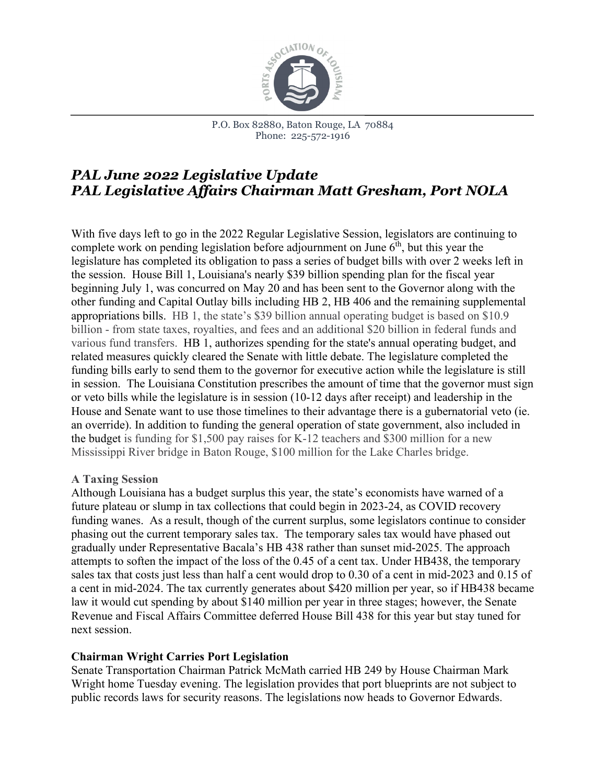

P.O. Box 82880, Baton Rouge, LA 70884 Phone: 225-572-1916

# *PAL June 2022 Legislative Update PAL Legislative Affairs Chairman Matt Gresham, Port NOLA*

With five days left to go in the 2022 Regular Legislative Session, legislators are continuing to complete work on pending legislation before adjournment on June  $6<sup>th</sup>$ , but this year the legislature has completed its obligation to pass a series of budget bills with over 2 weeks left in the session. House Bill 1, Louisiana's nearly \$39 billion spending plan for the fiscal year beginning July 1, was concurred on May 20 and has been sent to the Governor along with the other funding and Capital Outlay bills including HB 2, HB 406 and the remaining supplemental appropriations bills. HB 1, the state's \$39 billion annual operating budget is based on \$10.9 billion - from state taxes, royalties, and fees and an additional \$20 billion in federal funds and various fund transfers. HB 1, authorizes spending for the state's annual operating budget, and related measures quickly cleared the Senate with little debate. The legislature completed the funding bills early to send them to the governor for executive action while the legislature is still in session. The Louisiana Constitution prescribes the amount of time that the governor must sign or veto bills while the legislature is in session (10-12 days after receipt) and leadership in the House and Senate want to use those timelines to their advantage there is a gubernatorial veto (ie. an override). In addition to funding the general operation of state government, also included in the budget is funding for \$1,500 pay raises for K-12 teachers and \$300 million for a new Mississippi River bridge in Baton Rouge, \$100 million for the Lake Charles bridge.

#### **A Taxing Session**

Although Louisiana has a budget surplus this year, the state's economists have warned of a future plateau or slump in tax collections that could begin in 2023-24, as COVID recovery funding wanes. As a result, though of the current surplus, some legislators continue to consider phasing out the current temporary sales tax. The temporary sales tax would have phased out gradually under Representative Bacala's HB 438 rather than sunset mid-2025. The approach attempts to soften the impact of the loss of the 0.45 of a cent tax. Under HB438, the temporary sales tax that costs just less than half a cent would drop to 0.30 of a cent in mid-2023 and 0.15 of a cent in mid-2024. The tax currently generates about \$420 million per year, so if HB438 became law it would cut spending by about \$140 million per year in three stages; however, the Senate Revenue and Fiscal Affairs Committee deferred House Bill 438 for this year but stay tuned for next session.

#### **Chairman Wright Carries Port Legislation**

Senate Transportation Chairman Patrick McMath carried HB 249 by House Chairman Mark Wright home Tuesday evening. The legislation provides that port blueprints are not subject to public records laws for security reasons. The legislations now heads to Governor Edwards.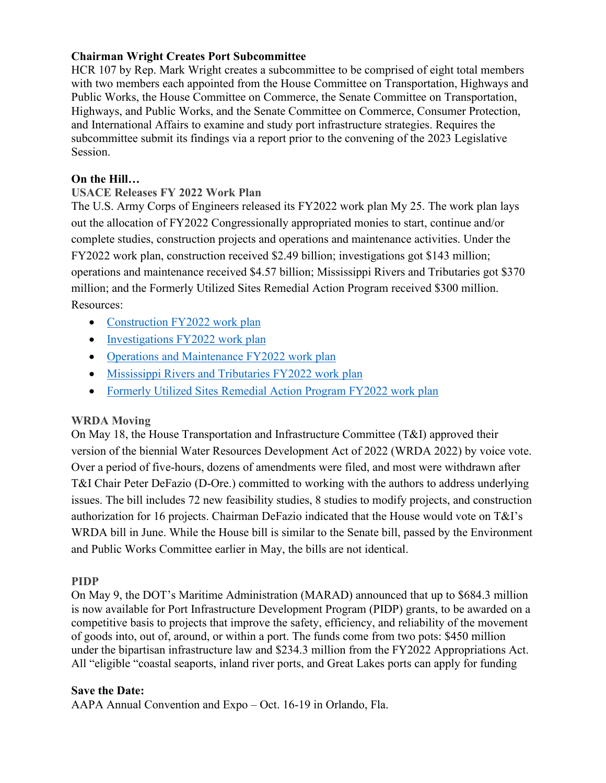#### **Chairman Wright Creates Port Subcommittee**

HCR 107 by Rep. Mark Wright creates a subcommittee to be comprised of eight total members with two members each appointed from the House Committee on Transportation, Highways and Public Works, the House Committee on Commerce, the Senate Committee on Transportation, Highways, and Public Works, and the Senate Committee on Commerce, Consumer Protection, and International Affairs to examine and study port infrastructure strategies. Requires the subcommittee submit its findings via a report prior to the convening of the 2023 Legislative Session.

## **On the Hill…**

## **USACE Releases FY 2022 Work Plan**

The U.S. Army Corps of Engineers released its FY2022 work plan My 25. The work plan lays out the allocation of FY2022 Congressionally appropriated monies to start, continue and/or complete studies, construction projects and operations and maintenance activities. Under the FY2022 work plan, construction received \$2.49 billion; investigations got \$143 million; operations and maintenance received \$4.57 billion; Mississippi Rivers and Tributaries got \$370 million; and the Formerly Utilized Sites Remedial Action Program received \$300 million. Resources:

- [Construction FY2022 work plan](https://urldefense.com/v3/__https:/usace.contentdm.oclc.org/utils/getfile/collection/p16021coll6/id/2270__;!!MfIX9RQ!foGSIPw9uIwdZ5BWp2fndTq2XmR5Dz5t9rLXIJ9-Ntzt9E887toxhV9l7qLgG9j_g8XKyDuqWLkJivS-Nrdb$)
- [Investigations FY2022 work plan](https://urldefense.com/v3/__https:/usace.contentdm.oclc.org/utils/getfile/collection/p16021coll6/id/2272__;!!MfIX9RQ!foGSIPw9uIwdZ5BWp2fndTq2XmR5Dz5t9rLXIJ9-Ntzt9E887toxhV9l7qLgG9j_g8XKyDuqWLkJitHv4Uit$)
- [Operations and Maintenance FY2022 work plan](https://urldefense.com/v3/__https:/usace.contentdm.oclc.org/utils/getfile/collection/p16021coll6/id/2275__;!!MfIX9RQ!foGSIPw9uIwdZ5BWp2fndTq2XmR5Dz5t9rLXIJ9-Ntzt9E887toxhV9l7qLgG9j_g8XKyDuqWLkJiv8Ntyiz$)
- [Mississippi Rivers and Tributaries FY2022 work plan](https://urldefense.com/v3/__https:/usace.contentdm.oclc.org/utils/getfile/collection/p16021coll6/id/2273__;!!MfIX9RQ!foGSIPw9uIwdZ5BWp2fndTq2XmR5Dz5t9rLXIJ9-Ntzt9E887toxhV9l7qLgG9j_g8XKyDuqWLkJiqrNn1Mz$)
- [Formerly Utilized Sites Remedial Action Program FY2022 work plan](https://urldefense.com/v3/__https:/usace.contentdm.oclc.org/utils/getfile/collection/p16021coll6/id/2271__;!!MfIX9RQ!foGSIPw9uIwdZ5BWp2fndTq2XmR5Dz5t9rLXIJ9-Ntzt9E887toxhV9l7qLgG9j_g8XKyDuqWLkJiky6Sc9u$)

## **WRDA Moving**

On May 18, the House Transportation and Infrastructure Committee (T&I) approved their version of the biennial Water Resources Development Act of 2022 (WRDA 2022) by voice vote. Over a period of five-hours, dozens of amendments were filed, and most were withdrawn after T&I Chair Peter DeFazio (D-Ore.) committed to working with the authors to address underlying issues. The bill includes 72 new feasibility studies, 8 studies to modify projects, and construction authorization for 16 projects. Chairman DeFazio indicated that the House would vote on T&I's WRDA bill in June. While the House bill is similar to the Senate bill, passed by the Environment and Public Works Committee earlier in May, the bills are not identical.

## **PIDP**

On May 9, the DOT's Maritime Administration (MARAD) announced that up to \$684.3 million is now available for Port Infrastructure Development Program (PIDP) grants, to be awarded on a competitive basis to projects that improve the safety, efficiency, and reliability of the movement of goods into, out of, around, or within a port. The funds come from two pots: \$450 million under the bipartisan infrastructure law and \$234.3 million from the FY2022 Appropriations Act. All "eligible "coastal seaports, inland river ports, and Great Lakes ports can apply for funding

## **Save the Date:**

AAPA Annual Convention and Expo – Oct. 16-19 in Orlando, Fla.